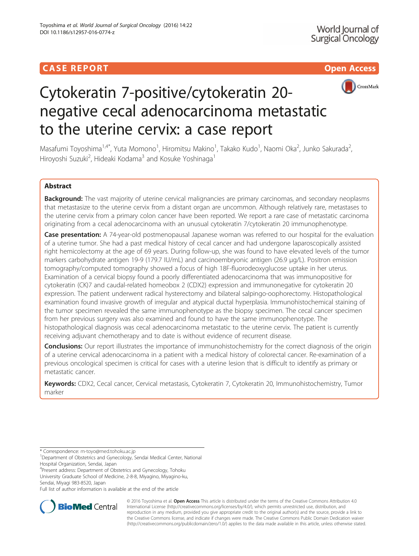## CASE REPORT Open Access



# Cytokeratin 7-positive/cytokeratin 20 negative cecal adenocarcinoma metastatic to the uterine cervix: a case report

Masafumi Toyoshima<sup>1,4\*</sup>, Yuta Momono<sup>1</sup>, Hiromitsu Makino<sup>1</sup>, Takako Kudo<sup>1</sup>, Naomi Oka<sup>2</sup>, Junko Sakurada<sup>2</sup> , Hiroyoshi Suzuki<sup>2</sup>, Hideaki Kodama<sup>3</sup> and Kosuke Yoshinaga<sup>1</sup>

## Abstract

Background: The vast majority of uterine cervical malignancies are primary carcinomas, and secondary neoplasms that metastasize to the uterine cervix from a distant organ are uncommon. Although relatively rare, metastases to the uterine cervix from a primary colon cancer have been reported. We report a rare case of metastatic carcinoma originating from a cecal adenocarcinoma with an unusual cytokeratin 7/cytokeratin 20 immunophenotype.

Case presentation: A 74-year-old postmenopausal Japanese woman was referred to our hospital for the evaluation of a uterine tumor. She had a past medical history of cecal cancer and had undergone laparoscopically assisted right hemicolectomy at the age of 69 years. During follow-up, she was found to have elevated levels of the tumor markers carbohydrate antigen 19-9 (179.7 IU/mL) and carcinoembryonic antigen (26.9 μg/L). Positron emission tomography/computed tomography showed a focus of high 18F-fluorodeoxyglucose uptake in her uterus. Examination of a cervical biopsy found a poorly differentiated adenocarcinoma that was immunopositive for cytokeratin (CK)7 and caudal-related homeobox 2 (CDX2) expression and immunonegative for cytokeratin 20 expression. The patient underwent radical hysterectomy and bilateral salpingo-oophorectomy. Histopathological examination found invasive growth of irregular and atypical ductal hyperplasia. Immunohistochemical staining of the tumor specimen revealed the same immunophenotype as the biopsy specimen. The cecal cancer specimen from her previous surgery was also examined and found to have the same immunophenotype. The histopathological diagnosis was cecal adenocarcinoma metastatic to the uterine cervix. The patient is currently receiving adjuvant chemotherapy and to date is without evidence of recurrent disease.

**Conclusions:** Our report illustrates the importance of immunohistochemistry for the correct diagnosis of the origin of a uterine cervical adenocarcinoma in a patient with a medical history of colorectal cancer. Re-examination of a previous oncological specimen is critical for cases with a uterine lesion that is difficult to identify as primary or metastatic cancer.

Keywords: CDX2, Cecal cancer, Cervical metastasis, Cytokeratin 7, Cytokeratin 20, Immunohistochemistry, Tumor marker

\* Correspondence: [m-toyo@med.tohoku.ac.jp](mailto:m-toyo@med.tohoku.ac.jp) <sup>1</sup>

<sup>1</sup>Department of Obstetrics and Gynecology, Sendai Medical Center, National Hospital Organization, Sendai, Japan

4 Present address: Department of Obstetrics and Gynecology, Tohoku University Graduate School of Medicine, 2-8-8, Miyagino, Miyagino-ku,

Sendai, Miyagi 983-8520, Japan

Full list of author information is available at the end of the article



© 2016 Toyoshima et al. Open Access This article is distributed under the terms of the Creative Commons Attribution 4.0 International License [\(http://creativecommons.org/licenses/by/4.0/](http://creativecommons.org/licenses/by/4.0/)), which permits unrestricted use, distribution, and reproduction in any medium, provided you give appropriate credit to the original author(s) and the source, provide a link to the Creative Commons license, and indicate if changes were made. The Creative Commons Public Domain Dedication waiver [\(http://creativecommons.org/publicdomain/zero/1.0/](http://creativecommons.org/publicdomain/zero/1.0/)) applies to the data made available in this article, unless otherwise stated.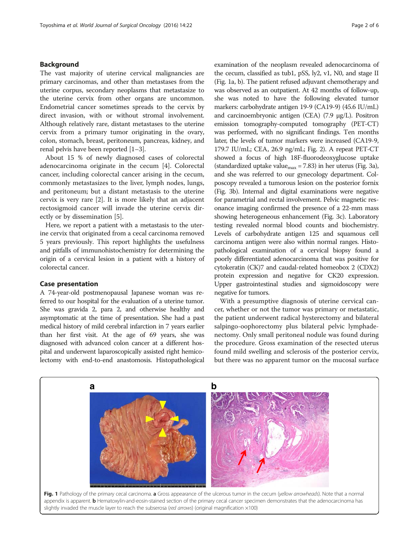### Background

The vast majority of uterine cervical malignancies are primary carcinomas, and other than metastases from the uterine corpus, secondary neoplasms that metastasize to the uterine cervix from other organs are uncommon. Endometrial cancer sometimes spreads to the cervix by direct invasion, with or without stromal involvement. Although relatively rare, distant metastases to the uterine cervix from a primary tumor originating in the ovary, colon, stomach, breast, peritoneum, pancreas, kidney, and renal pelvis have been reported [[1](#page--1-0)–[3](#page--1-0)].

About 15 % of newly diagnosed cases of colorectal adenocarcinoma originate in the cecum [[4\]](#page--1-0). Colorectal cancer, including colorectal cancer arising in the cecum, commonly metastasizes to the liver, lymph nodes, lungs, and peritoneum; but a distant metastasis to the uterine cervix is very rare [[2\]](#page--1-0). It is more likely that an adjacent rectosigmoid cancer will invade the uterine cervix directly or by dissemination [\[5](#page--1-0)].

Here, we report a patient with a metastasis to the uterine cervix that originated from a cecal carcinoma removed 5 years previously. This report highlights the usefulness and pitfalls of immunohistochemistry for determining the origin of a cervical lesion in a patient with a history of colorectal cancer.

## Case presentation

A 74-year-old postmenopausal Japanese woman was referred to our hospital for the evaluation of a uterine tumor. She was gravida 2, para 2, and otherwise healthy and asymptomatic at the time of presentation. She had a past medical history of mild cerebral infarction in 7 years earlier than her first visit. At the age of 69 years, she was diagnosed with advanced colon cancer at a different hospital and underwent laparoscopically assisted right hemicolectomy with end-to-end anastomosis. Histopathological

examination of the neoplasm revealed adenocarcinoma of the cecum, classified as tub1, pSS, ly2, v1, N0, and stage II (Fig. 1a, b). The patient refused adjuvant chemotherapy and was observed as an outpatient. At 42 months of follow-up, she was noted to have the following elevated tumor markers: carbohydrate antigen 19-9 (CA19-9) (45.6 IU/mL) and carcinoembryonic antigen (CEA) (7.9 μg/L). Positron emission tomography-computed tomography (PET-CT) was performed, with no significant findings. Ten months later, the levels of tumor markers were increased (CA19-9, 179.7 IU/mL; CEA, 26.9 ng/mL; Fig. [2](#page-2-0)). A repeat PET-CT showed a focus of high 18F-fluorodeoxyglucose uptake (standardized uptake value<sub>max</sub> = 7.83) in her uterus (Fig. [3a](#page-3-0)), and she was referred to our gynecology department. Colposcopy revealed a tumorous lesion on the posterior fornix (Fig. [3b\)](#page-3-0). Internal and digital examinations were negative for parametrial and rectal involvement. Pelvic magnetic resonance imaging confirmed the presence of a 22-mm mass showing heterogeneous enhancement (Fig. [3c\)](#page-3-0). Laboratory testing revealed normal blood counts and biochemistry. Levels of carbohydrate antigen 125 and squamous cell carcinoma antigen were also within normal ranges. Histopathological examination of a cervical biopsy found a poorly differentiated adenocarcinoma that was positive for cytokeratin (CK)7 and caudal-related homeobox 2 (CDX2) protein expression and negative for CK20 expression. Upper gastrointestinal studies and sigmoidoscopy were negative for tumors.

With a presumptive diagnosis of uterine cervical cancer, whether or not the tumor was primary or metastatic, the patient underwent radical hysterectomy and bilateral salpingo-oophorectomy plus bilateral pelvic lymphadenectomy. Only small peritoneal nodule was found during the procedure. Gross examination of the resected uterus found mild swelling and sclerosis of the posterior cervix, but there was no apparent tumor on the mucosal surface

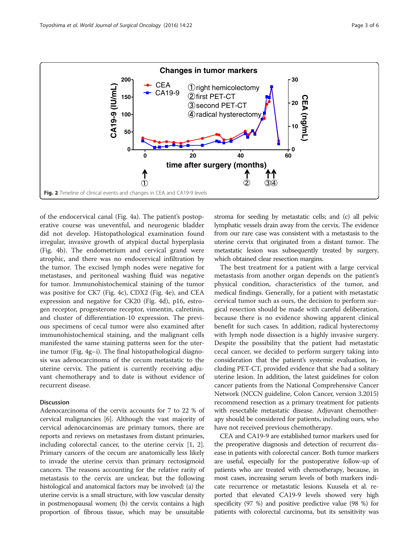<span id="page-2-0"></span>

of the endocervical canal (Fig. [4a](#page-4-0)). The patient's postoperative course was uneventful, and neurogenic bladder did not develop. Histopathological examination found irregular, invasive growth of atypical ductal hyperplasia (Fig. [4b](#page-4-0)). The endometrium and cervical grand were atrophic, and there was no endocervical infiltration by the tumor. The excised lymph nodes were negative for metastases, and peritoneal washing fluid was negative for tumor. Immunohistochemical staining of the tumor was positive for CK7 (Fig. [4c\)](#page-4-0), CDX2 (Fig. [4e](#page-4-0)), and CEA expression and negative for CK20 (Fig. [4d\)](#page-4-0), p16, estrogen receptor, progesterone receptor, vimentin, calretinin, and cluster of differentiation-10 expression. The previous specimens of cecal tumor were also examined after immunohistochemical staining, and the malignant cells manifested the same staining patterns seen for the uterine tumor (Fig. [4g](#page-4-0)–i). The final histopathological diagnosis was adenocarcinoma of the cecum metastatic to the uterine cervix. The patient is currently receiving adjuvant chemotherapy and to date is without evidence of recurrent disease.

## Discussion

Adenocarcinoma of the cervix accounts for 7 to 22 % of cervical malignancies [[6\]](#page--1-0). Although the vast majority of cervical adenocarcinomas are primary tumors, there are reports and reviews on metastases from distant primaries, including colorectal cancer, to the uterine cervix [\[1, 2](#page--1-0)]. Primary cancers of the cecum are anatomically less likely to invade the uterine cervix than primary rectosigmoid cancers. The reasons accounting for the relative rarity of metastasis to the cervix are unclear, but the following histological and anatomical factors may be involved: (a) the uterine cervix is a small structure, with low vascular density in postmenopausal women; (b) the cervix contains a high proportion of fibrous tissue, which may be unsuitable

stroma for seeding by metastatic cells; and (c) all pelvic lymphatic vessels drain away from the cervix. The evidence from our rare case was consistent with a metastasis to the uterine cervix that originated from a distant tumor. The metastatic lesion was subsequently treated by surgery, which obtained clear resection margins.

The best treatment for a patient with a large cervical metastasis from another organ depends on the patient's physical condition, characteristics of the tumor, and medical findings. Generally, for a patient with metastatic cervical tumor such as ours, the decision to perform surgical resection should be made with careful deliberation, because there is no evidence showing apparent clinical benefit for such cases. In addition, radical hysterectomy with lymph node dissection is a highly invasive surgery. Despite the possibility that the patient had metastatic cecal cancer, we decided to perform surgery taking into consideration that the patient's systemic evaluation, including PET-CT, provided evidence that she had a solitary uterine lesion. In addition, the latest guidelines for colon cancer patients from the National Comprehensive Cancer Network (NCCN guideline, Colon Cancer, version 3.2015) recommend resection as a primary treatment for patients with resectable metastatic disease. Adjuvant chemotherapy should be considered for patients, including ours, who have not received previous chemotherapy.

CEA and CA19-9 are established tumor markers used for the preoperative diagnosis and detection of recurrent disease in patients with colorectal cancer. Both tumor markers are useful, especially for the postoperative follow-up of patients who are treated with chemotherapy, because, in most cases, increasing serum levels of both markers indicate recurrence or metastatic lesions. Kuusela et al. reported that elevated CA19-9 levels showed very high specificity (97 %) and positive predictive value (98 %) for patients with colorectal carcinoma, but its sensitivity was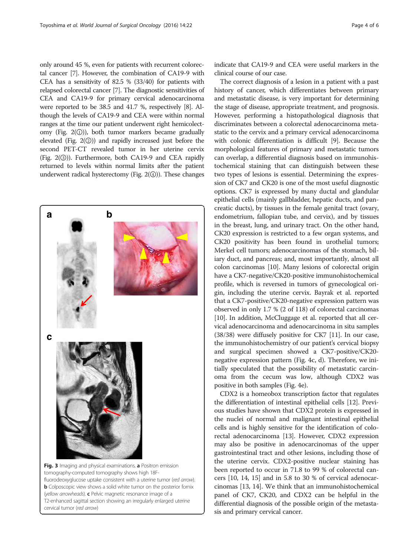<span id="page-3-0"></span>only around 45 %, even for patients with recurrent colorectal cancer [[7](#page--1-0)]. However, the combination of CA19-9 with CEA has a sensitivity of 82.5 % (33/40) for patients with relapsed colorectal cancer [\[7](#page--1-0)]. The diagnostic sensitivities of CEA and CA19-9 for primary cervical adenocarcinoma were reported to be 38.5 and 41.7 %, respectively [\[8](#page--1-0)]. Although the levels of CA19-9 and CEA were within normal ranges at the time our patient underwent right hemicolectomy (Fig. [2\(](#page-2-0)①)), both tumor markers became gradually elevated (Fig. [2](#page-2-0)(②)) and rapidly increased just before the second PET-CT revealed tumor in her uterine cervix (Fig. [2\(](#page-2-0)③)). Furthermore, both CA19-9 and CEA rapidly returned to levels within normal limits after the patient underwent radical hysterectomy (Fig.  $2(\textcircled{4})$ ). These changes



cervical tumor (red arrow)

indicate that CA19-9 and CEA were useful markers in the clinical course of our case.

The correct diagnosis of a lesion in a patient with a past history of cancer, which differentiates between primary and metastatic disease, is very important for determining the stage of disease, appropriate treatment, and prognosis. However, performing a histopathological diagnosis that discriminates between a colorectal adenocarcinoma metastatic to the cervix and a primary cervical adenocarcinoma with colonic differentiation is difficult [\[9](#page--1-0)]. Because the morphological features of primary and metastatic tumors can overlap, a differential diagnosis based on immunohistochemical staining that can distinguish between these two types of lesions is essential. Determining the expression of CK7 and CK20 is one of the most useful diagnostic options. CK7 is expressed by many ductal and glandular epithelial cells (mainly gallbladder, hepatic ducts, and pancreatic ducts), by tissues in the female genital tract (ovary, endometrium, fallopian tube, and cervix), and by tissues in the breast, lung, and urinary tract. On the other hand, CK20 expression is restricted to a few organ systems, and CK20 positivity has been found in urothelial tumors; Merkel cell tumors; adenocarcinomas of the stomach, biliary duct, and pancreas; and, most importantly, almost all colon carcinomas [\[10](#page--1-0)]. Many lesions of colorectal origin have a CK7-negative/CK20-positive immunohistochemical profile, which is reversed in tumors of gynecological origin, including the uterine cervix. Bayrak et al. reported that a CK7-positive/CK20-negative expression pattern was observed in only 1.7 % (2 of 118) of colorectal carcinomas [[10](#page--1-0)]. In addition, McCluggage et al. reported that all cervical adenocarcinoma and adenocarcinoma in situ samples (38/38) were diffusely positive for CK7 [\[11\]](#page--1-0). In our case, the immunohistochemistry of our patient's cervical biopsy and surgical specimen showed a CK7-positive/CK20 negative expression pattern (Fig. [4c, d\)](#page-4-0). Therefore, we initially speculated that the possibility of metastatic carcinoma from the cecum was low, although CDX2 was positive in both samples (Fig. [4e\)](#page-4-0).

CDX2 is a homeobox transcription factor that regulates the differentiation of intestinal epithelial cells [\[12\]](#page--1-0). Previous studies have shown that CDX2 protein is expressed in the nuclei of normal and malignant intestinal epithelial cells and is highly sensitive for the identification of colorectal adenocarcinoma [\[13\]](#page--1-0). However, CDX2 expression may also be positive in adenocarcinomas of the upper gastrointestinal tract and other lesions, including those of the uterine cervix. CDX2-positive nuclear staining has been reported to occur in 71.8 to 99 % of colorectal cancers [\[10, 14](#page--1-0), [15](#page--1-0)] and in 5.8 to 30 % of cervical adenocarcinomas [\[13, 14\]](#page--1-0). We think that an immunohistochemical panel of CK7, CK20, and CDX2 can be helpful in the differential diagnosis of the possible origin of the metastasis and primary cervical cancer.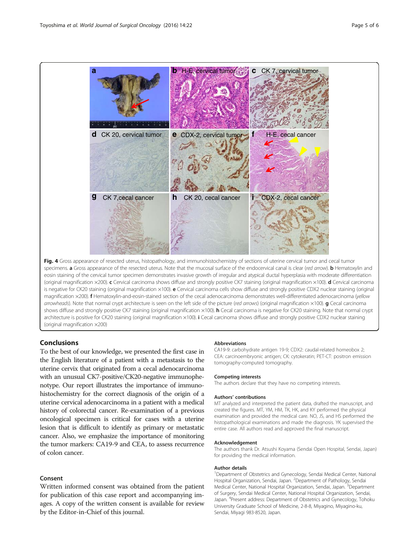<span id="page-4-0"></span>

shows diffuse and strongly positive CK7 staining (original magnification ×100). h Cecal carcinoma is negative for CK20 staining. Note that normal crypt architecture is positive for CK20 staining (original magnification x100). *i* Cecal carcinoma shows diffuse and strongly positive CDX2 nuclear staining (original magnification ×200)

## Conclusions

To the best of our knowledge, we presented the first case in the English literature of a patient with a metastasis to the uterine cervix that originated from a cecal adenocarcinoma with an unusual CK7-positive/CK20-negative immunophenotype. Our report illustrates the importance of immunohistochemistry for the correct diagnosis of the origin of a uterine cervical adenocarcinoma in a patient with a medical history of colorectal cancer. Re-examination of a previous oncological specimen is critical for cases with a uterine lesion that is difficult to identify as primary or metastatic cancer. Also, we emphasize the importance of monitoring the tumor markers: CA19-9 and CEA, to assess recurrence of colon cancer.

## Consent

Written informed consent was obtained from the patient for publication of this case report and accompanying images. A copy of the written consent is available for review by the Editor-in-Chief of this journal.

#### **Abbreviations**

CA19-9: carbohydrate antigen 19-9; CDX2: caudal-related homeobox 2; CEA: carcinoembryonic antigen; CK: cytokeratin; PET-CT: positron emission tomography-computed tomography.

#### Competing interests

The authors declare that they have no competing interests.

#### Authors' contributions

MT analyzed and interpreted the patient data, drafted the manuscript, and created the figures. MT, YM, HM, TK, HK, and KY performed the physical examination and provided the medical care. NO, JS, and HS performed the histopathological examinations and made the diagnosis. YK supervised the entire case. All authors read and approved the final manuscript.

#### Acknowledgement

The authors thank Dr. Atsushi Koyama (Sendai Open Hospital, Sendai, Japan) for providing the medical information.

#### Author details

<sup>1</sup>Department of Obstetrics and Gynecology, Sendai Medical Center, National Hospital Organization, Sendai, Japan. <sup>2</sup>Department of Pathology, Sendai Medical Center, National Hospital Organization, Sendai, Japan. <sup>3</sup>Department of Surgery, Sendai Medical Center, National Hospital Organization, Sendai, Japan. <sup>4</sup> Present address: Department of Obstetrics and Gynecology, Tohoku University Graduate School of Medicine, 2-8-8, Miyagino, Miyagino-ku, Sendai, Miyagi 983-8520, Japan.